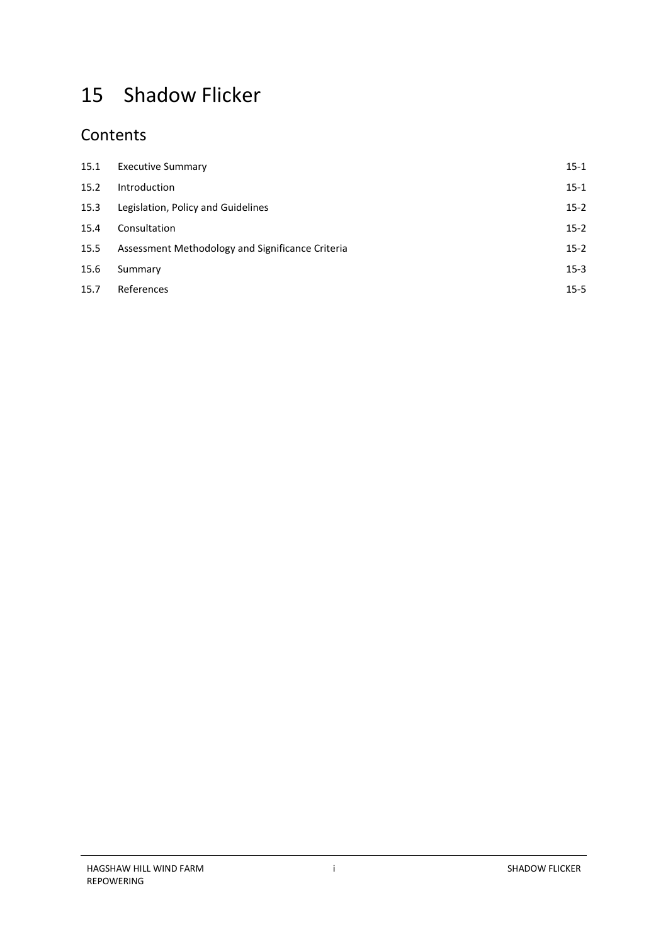# 15 Shadow Flicker

# **Contents**

| 15.1 | <b>Executive Summary</b>                         | $15-1$   |
|------|--------------------------------------------------|----------|
| 15.2 | Introduction                                     | $15 - 1$ |
| 15.3 | Legislation, Policy and Guidelines               | $15-2$   |
| 15.4 | Consultation                                     | $15-2$   |
| 15.5 | Assessment Methodology and Significance Criteria | $15-2$   |
| 15.6 | Summary                                          | $15-3$   |
| 15.7 | References                                       | $15 - 5$ |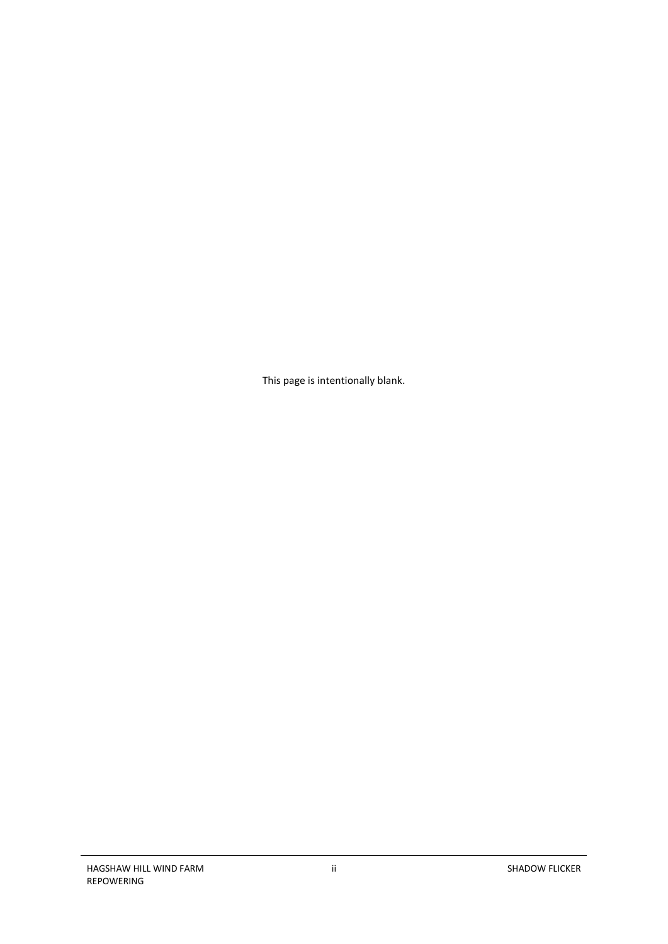This page is intentionally blank.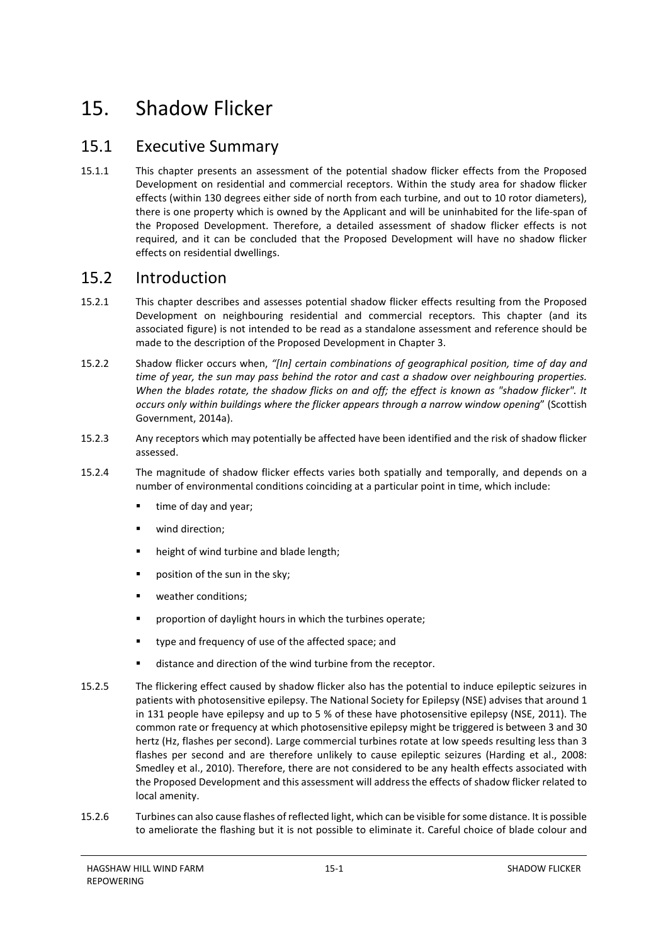# 15. Shadow Flicker

# <span id="page-2-0"></span>15.1 Executive Summary

15.1.1 This chapter presents an assessment of the potential shadow flicker effects from the Proposed Development on residential and commercial receptors. Within the study area for shadow flicker effects (within 130 degrees either side of north from each turbine, and out to 10 rotor diameters), there is one property which is owned by the Applicant and will be uninhabited for the life-span of the Proposed Development. Therefore, a detailed assessment of shadow flicker effects is not required, and it can be concluded that the Proposed Development will have no shadow flicker effects on residential dwellings.

### <span id="page-2-1"></span>15.2 Introduction

- 15.2.1 This chapter describes and assesses potential shadow flicker effects resulting from the Proposed Development on neighbouring residential and commercial receptors. This chapter (and its associated figure) is not intended to be read as a standalone assessment and reference should be made to the description of the Proposed Development in Chapter 3.
- 15.2.2 Shadow flicker occurs when, *"[In] certain combinations of geographical position, time of day and time of year, the sun may pass behind the rotor and cast a shadow over neighbouring properties. When the blades rotate, the shadow flicks on and off; the effect is known as "shadow flicker". It occurs only within buildings where the flicker appears through a narrow window opening*" (Scottish Government, 2014a).
- 15.2.3 Any receptors which may potentially be affected have been identified and the risk of shadow flicker assessed.
- 15.2.4 The magnitude of shadow flicker effects varies both spatially and temporally, and depends on a number of environmental conditions coinciding at a particular point in time, which include:
	- time of day and year;
	- wind direction;
	- **•** height of wind turbine and blade length;
	- **position of the sun in the sky;**
	- **•** weather conditions;
	- **Phonoportion of daylight hours in which the turbines operate;**
	- **type and frequency of use of the affected space; and**
	- distance and direction of the wind turbine from the receptor.
- 15.2.5 The flickering effect caused by shadow flicker also has the potential to induce epileptic seizures in patients with photosensitive epilepsy. The National Society for Epilepsy (NSE) advises that around 1 in 131 people have epilepsy and up to 5 % of these have photosensitive epilepsy (NSE, 2011). The common rate or frequency at which photosensitive epilepsy might be triggered is between 3 and 30 hertz (Hz, flashes per second). Large commercial turbines rotate at low speeds resulting less than 3 flashes per second and are therefore unlikely to cause epileptic seizures (Harding et al., 2008: Smedley et al., 2010). Therefore, there are not considered to be any health effects associated with the Proposed Development and this assessment will address the effects of shadow flicker related to local amenity.
- 15.2.6 Turbines can also cause flashes of reflected light, which can be visible for some distance. It is possible to ameliorate the flashing but it is not possible to eliminate it. Careful choice of blade colour and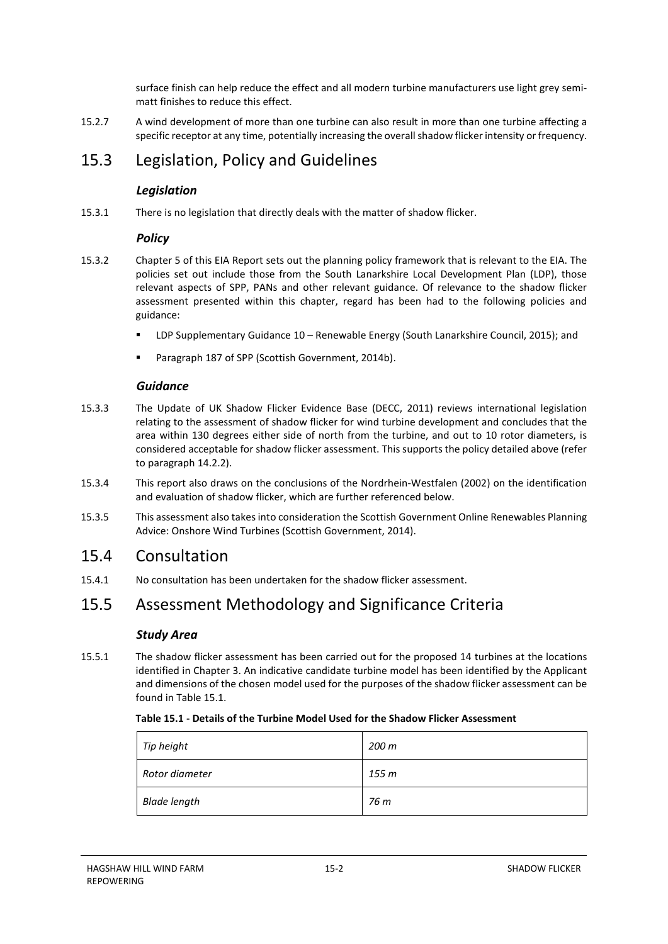surface finish can help reduce the effect and all modern turbine manufacturers use light grey semimatt finishes to reduce this effect.

15.2.7 A wind development of more than one turbine can also result in more than one turbine affecting a specific receptor at any time, potentially increasing the overall shadow flicker intensity or frequency.

## <span id="page-3-0"></span>15.3 Legislation, Policy and Guidelines

### *Legislation*

15.3.1 There is no legislation that directly deals with the matter of shadow flicker.

### *Policy*

- 15.3.2 Chapter 5 of this EIA Report sets out the planning policy framework that is relevant to the EIA. The policies set out include those from the South Lanarkshire Local Development Plan (LDP), those relevant aspects of SPP, PANs and other relevant guidance. Of relevance to the shadow flicker assessment presented within this chapter, regard has been had to the following policies and guidance:
	- LDP Supplementary Guidance 10 Renewable Energy (South Lanarkshire Council, 2015); and
	- Paragraph 187 of SPP (Scottish Government, 2014b).

### *Guidance*

- 15.3.3 The Update of UK Shadow Flicker Evidence Base (DECC, 2011) reviews international legislation relating to the assessment of shadow flicker for wind turbine development and concludes that the area within 130 degrees either side of north from the turbine, and out to 10 rotor diameters, is considered acceptable for shadow flicker assessment. This supports the policy detailed above (refer to paragraph 14.2.2).
- 15.3.4 This report also draws on the conclusions of the Nordrhein-Westfalen (2002) on the identification and evaluation of shadow flicker, which are further referenced below.
- 15.3.5 This assessment also takes into consideration the Scottish Government Online Renewables Planning Advice: Onshore Wind Turbines (Scottish Government, 2014).

### <span id="page-3-1"></span>15.4 Consultation

15.4.1 No consultation has been undertaken for the shadow flicker assessment.

# <span id="page-3-2"></span>15.5 Assessment Methodology and Significance Criteria

### *Study Area*

15.5.1 The shadow flicker assessment has been carried out for the proposed 14 turbines at the locations identified in Chapter 3. An indicative candidate turbine model has been identified by the Applicant and dimensions of the chosen model used for the purposes of the shadow flicker assessment can be found in Table 15.1.

#### **Table 15.1 - Details of the Turbine Model Used for the Shadow Flicker Assessment**

| Tip height     | 200 m |
|----------------|-------|
| Rotor diameter | 155 m |
| Blade length   | 76 m  |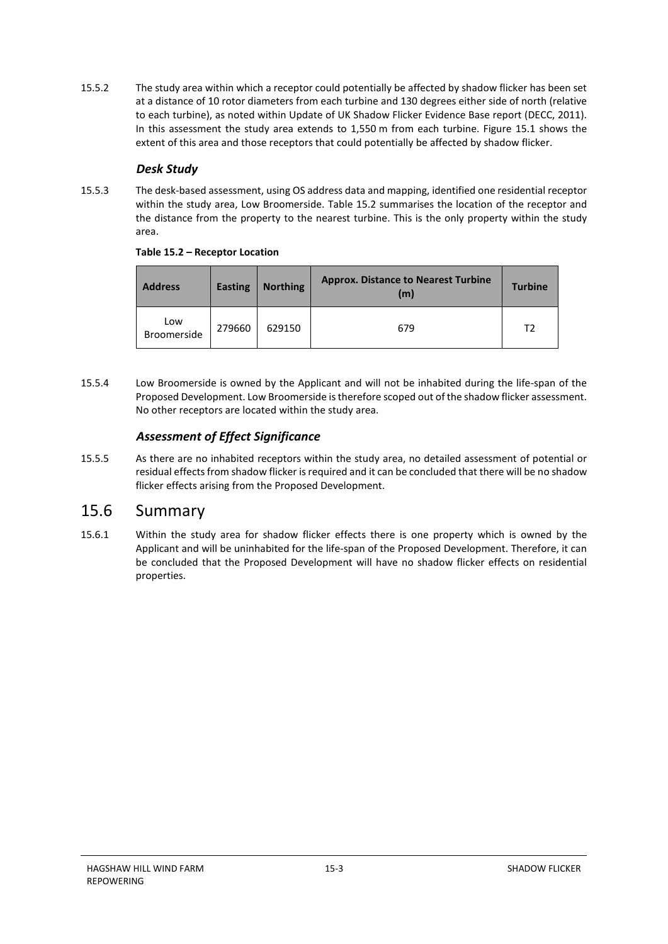15.5.2 The study area within which a receptor could potentially be affected by shadow flicker has been set at a distance of 10 rotor diameters from each turbine and 130 degrees either side of north (relative to each turbine), as noted within Update of UK Shadow Flicker Evidence Base report (DECC, 2011). In this assessment the study area extends to 1,550 m from each turbine. Figure 15.1 shows the extent of this area and those receptors that could potentially be affected by shadow flicker.

### *Desk Study*

15.5.3 The desk-based assessment, using OS address data and mapping, identified one residential receptor within the study area, Low Broomerside. Table 15.2 summarises the location of the receptor and the distance from the property to the nearest turbine. This is the only property within the study area.

### **Table 15.2 – Receptor Location**

| <b>Address</b>     | <b>Easting</b> | <b>Northing</b> | <b>Approx. Distance to Nearest Turbine</b><br>(m) | <b>Turbine</b> |
|--------------------|----------------|-----------------|---------------------------------------------------|----------------|
| Low<br>Broomerside | 279660         | 629150          | 679                                               | Т2             |

15.5.4 Low Broomerside is owned by the Applicant and will not be inhabited during the life-span of the Proposed Development. Low Broomerside is therefore scoped out of the shadow flicker assessment. No other receptors are located within the study area.

### *Assessment of Effect Significance*

15.5.5 As there are no inhabited receptors within the study area, no detailed assessment of potential or residual effects from shadow flicker is required and it can be concluded that there will be no shadow flicker effects arising from the Proposed Development.

## <span id="page-4-0"></span>15.6 Summary

15.6.1 Within the study area for shadow flicker effects there is one property which is owned by the Applicant and will be uninhabited for the life-span of the Proposed Development. Therefore, it can be concluded that the Proposed Development will have no shadow flicker effects on residential properties.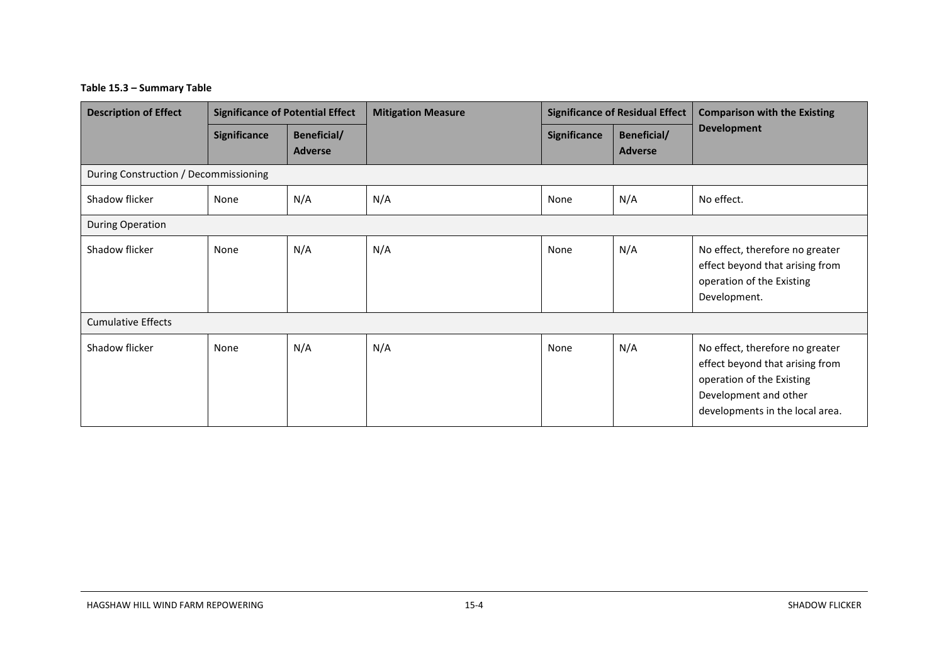#### **Table 15.3 – Summary Table**

| <b>Description of Effect</b>          | <b>Significance of Potential Effect</b> |                                      | <b>Mitigation Measure</b> | <b>Significance of Residual Effect</b> |                               | <b>Comparison with the Existing</b>                                                                                                                         |  |  |  |  |
|---------------------------------------|-----------------------------------------|--------------------------------------|---------------------------|----------------------------------------|-------------------------------|-------------------------------------------------------------------------------------------------------------------------------------------------------------|--|--|--|--|
|                                       | Significance                            | <b>Beneficial/</b><br><b>Adverse</b> |                           | <b>Significance</b>                    | Beneficial/<br><b>Adverse</b> | <b>Development</b>                                                                                                                                          |  |  |  |  |
| During Construction / Decommissioning |                                         |                                      |                           |                                        |                               |                                                                                                                                                             |  |  |  |  |
| Shadow flicker                        | None                                    | N/A                                  | N/A                       | None                                   | N/A                           | No effect.                                                                                                                                                  |  |  |  |  |
| During Operation                      |                                         |                                      |                           |                                        |                               |                                                                                                                                                             |  |  |  |  |
| Shadow flicker                        | None                                    | N/A                                  | N/A                       | None                                   | N/A                           | No effect, therefore no greater<br>effect beyond that arising from<br>operation of the Existing<br>Development.                                             |  |  |  |  |
| <b>Cumulative Effects</b>             |                                         |                                      |                           |                                        |                               |                                                                                                                                                             |  |  |  |  |
| Shadow flicker                        | None                                    | N/A                                  | N/A                       | None                                   | N/A                           | No effect, therefore no greater<br>effect beyond that arising from<br>operation of the Existing<br>Development and other<br>developments in the local area. |  |  |  |  |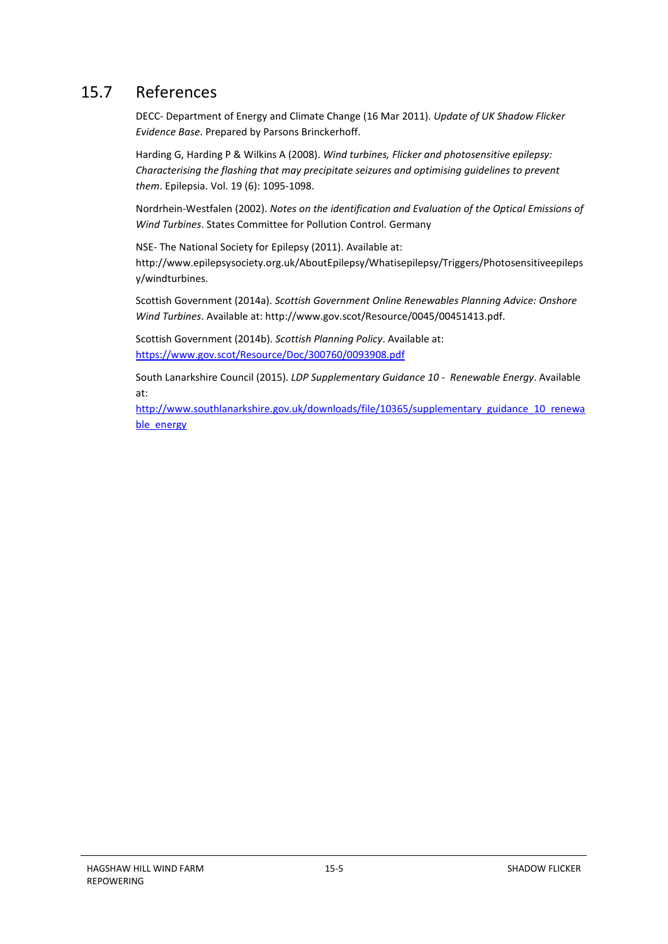# <span id="page-6-0"></span>15.7 References

DECC- Department of Energy and Climate Change (16 Mar 2011). *Update of UK Shadow Flicker Evidence Base*. Prepared by Parsons Brinckerhoff.

Harding G, Harding P & Wilkins A (2008). *Wind turbines, Flicker and photosensitive epilepsy: Characterising the flashing that may precipitate seizures and optimising guidelines to prevent them*. Epilepsia. Vol. 19 (6): 1095-1098.

Nordrhein-Westfalen (2002). *Notes on the identification and Evaluation of the Optical Emissions of Wind Turbines*. States Committee for Pollution Control. Germany

NSE- The National Society for Epilepsy (2011). Available at: http://www.epilepsysociety.org.uk/AboutEpilepsy/Whatisepilepsy/Triggers/Photosensitiveepileps y/windturbines.

Scottish Government (2014a). *Scottish Government Online Renewables Planning Advice: Onshore Wind Turbines*. Available at: http://www.gov.scot/Resource/0045/00451413.pdf.

Scottish Government (2014b). *Scottish Planning Policy*. Available at: <https://www.gov.scot/Resource/Doc/300760/0093908.pdf>

South Lanarkshire Council (2015). *LDP Supplementary Guidance 10 - Renewable Energy*. Available at:

[http://www.southlanarkshire.gov.uk/downloads/file/10365/supplementary\\_guidance\\_10\\_renewa](http://www.southlanarkshire.gov.uk/downloads/file/10365/supplementary_guidance_10_renewable_energy) [ble\\_energy](http://www.southlanarkshire.gov.uk/downloads/file/10365/supplementary_guidance_10_renewable_energy)